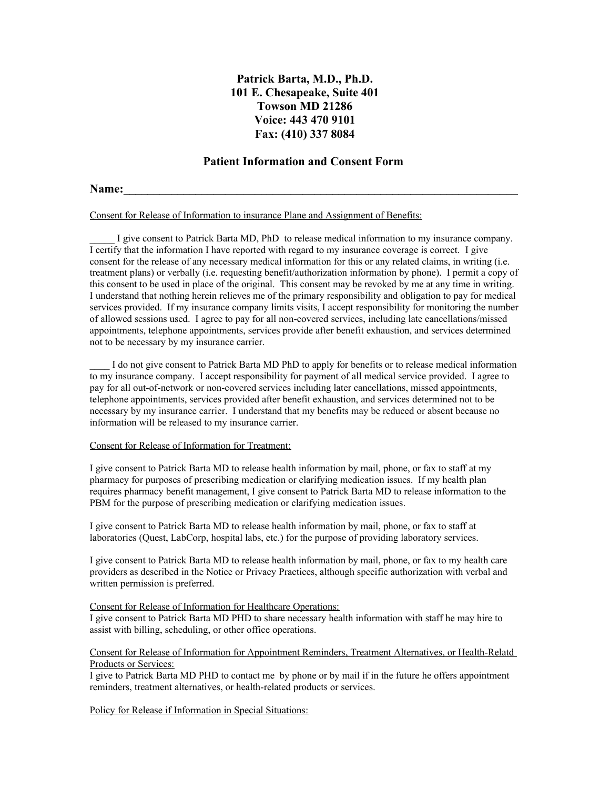# **Patrick Barta, M.D., Ph.D. 101 E. Chesapeake, Suite 401 Towson MD 21286 Voice: 443 470 9101 Fax: (410) 337 8084**

## **Patient Information and Consent Form**

# **Name:** <u>**n**</u>

Consent for Release of Information to insurance Plane and Assignment of Benefits:

I give consent to Patrick Barta MD, PhD to release medical information to my insurance company. I certify that the information I have reported with regard to my insurance coverage is correct. I give consent for the release of any necessary medical information for this or any related claims, in writing (i.e. treatment plans) or verbally (i.e. requesting benefit/authorization information by phone). I permit a copy of this consent to be used in place of the original. This consent may be revoked by me at any time in writing. I understand that nothing herein relieves me of the primary responsibility and obligation to pay for medical services provided. If my insurance company limits visits, I accept responsibility for monitoring the number of allowed sessions used. I agree to pay for all non-covered services, including late cancellations/missed appointments, telephone appointments, services provide after benefit exhaustion, and services determined not to be necessary by my insurance carrier.

I do not give consent to Patrick Barta MD PhD to apply for benefits or to release medical information to my insurance company. I accept responsibility for payment of all medical service provided. I agree to pay for all out-of-network or non-covered services including later cancellations, missed appointments, telephone appointments, services provided after benefit exhaustion, and services determined not to be necessary by my insurance carrier. I understand that my benefits may be reduced or absent because no information will be released to my insurance carrier.

#### Consent for Release of Information for Treatment:

I give consent to Patrick Barta MD to release health information by mail, phone, or fax to staff at my pharmacy for purposes of prescribing medication or clarifying medication issues. If my health plan requires pharmacy benefit management, I give consent to Patrick Barta MD to release information to the PBM for the purpose of prescribing medication or clarifying medication issues.

I give consent to Patrick Barta MD to release health information by mail, phone, or fax to staff at laboratories (Quest, LabCorp, hospital labs, etc.) for the purpose of providing laboratory services.

I give consent to Patrick Barta MD to release health information by mail, phone, or fax to my health care providers as described in the Notice or Privacy Practices, although specific authorization with verbal and written permission is preferred.

#### Consent for Release of Information for Healthcare Operations:

I give consent to Patrick Barta MD PHD to share necessary health information with staff he may hire to assist with billing, scheduling, or other office operations.

#### Consent for Release of Information for Appointment Reminders, Treatment Alternatives, or Health-Relatd Products or Services:

I give to Patrick Barta MD PHD to contact me by phone or by mail if in the future he offers appointment reminders, treatment alternatives, or health-related products or services.

Policy for Release if Information in Special Situations: